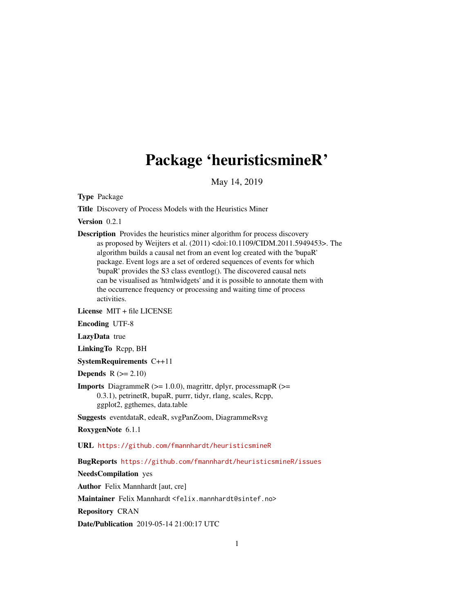# Package 'heuristicsmineR'

May 14, 2019

Type Package

Title Discovery of Process Models with the Heuristics Miner

Version 0.2.1

Description Provides the heuristics miner algorithm for process discovery as proposed by Weijters et al. (2011) <doi:10.1109/CIDM.2011.5949453>. The algorithm builds a causal net from an event log created with the 'bupaR' package. Event logs are a set of ordered sequences of events for which 'bupaR' provides the S3 class eventlog(). The discovered causal nets can be visualised as 'htmlwidgets' and it is possible to annotate them with the occurrence frequency or processing and waiting time of process activities.

License MIT + file LICENSE

Encoding UTF-8

LazyData true

LinkingTo Rcpp, BH

SystemRequirements C++11

Depends  $R (= 2.10)$ 

**Imports** DiagrammeR ( $>= 1.0.0$ ), magrittr, dplyr, processmapR ( $>=$ 0.3.1), petrinetR, bupaR, purrr, tidyr, rlang, scales, Rcpp, ggplot2, ggthemes, data.table

Suggests eventdataR, edeaR, svgPanZoom, DiagrammeRsvg

RoxygenNote 6.1.1

URL <https://github.com/fmannhardt/heuristicsmineR>

BugReports <https://github.com/fmannhardt/heuristicsmineR/issues>

NeedsCompilation yes

Author Felix Mannhardt [aut, cre]

Maintainer Felix Mannhardt <felix.mannhardt@sintef.no>

Repository CRAN

Date/Publication 2019-05-14 21:00:17 UTC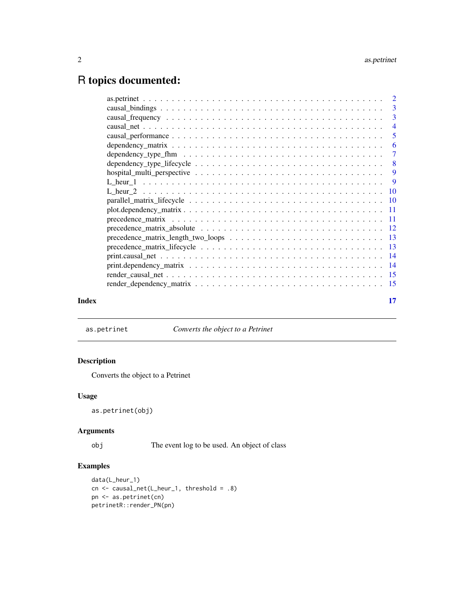# <span id="page-1-0"></span>R topics documented:

| Index | 17 |
|-------|----|

as.petrinet *Converts the object to a Petrinet*

# Description

Converts the object to a Petrinet

# Usage

as.petrinet(obj)

# Arguments

obj The event log to be used. An object of class

# Examples

```
data(L_heur_1)
cn <- causal_net(L_heur_1, threshold = .8)
pn <- as.petrinet(cn)
petrinetR::render_PN(pn)
```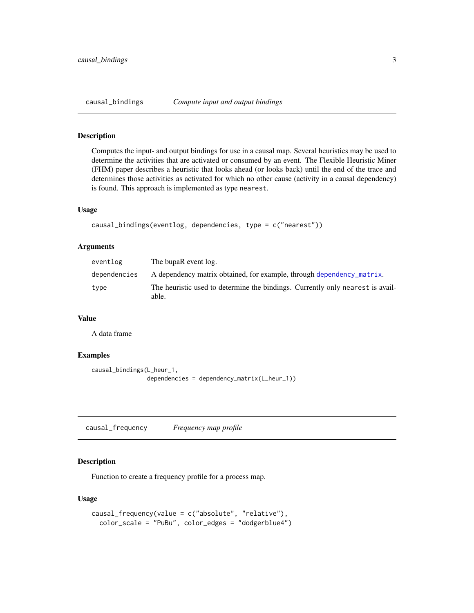<span id="page-2-1"></span><span id="page-2-0"></span>

# Description

Computes the input- and output bindings for use in a causal map. Several heuristics may be used to determine the activities that are activated or consumed by an event. The Flexible Heuristic Miner (FHM) paper describes a heuristic that looks ahead (or looks back) until the end of the trace and determines those activities as activated for which no other cause (activity in a causal dependency) is found. This approach is implemented as type nearest.

#### Usage

```
causal_bindings(eventlog, dependencies, type = c("nearest"))
```
#### Arguments

| eventlog     | The bupaR event log.                                                                    |
|--------------|-----------------------------------------------------------------------------------------|
| dependencies | A dependency matrix obtained, for example, through dependency matrix.                   |
| type         | The heuristic used to determine the bindings. Currently only nearest is avail-<br>able. |

#### Value

A data frame

#### Examples

```
causal_bindings(L_heur_1,
                dependencies = dependency_matrix(L_heur_1))
```
<span id="page-2-2"></span>causal\_frequency *Frequency map profile*

#### Description

Function to create a frequency profile for a process map.

```
causal_frequency(value = c("absolute", "relative"),
  color_scale = "PuBu", color_edges = "dodgerblue4")
```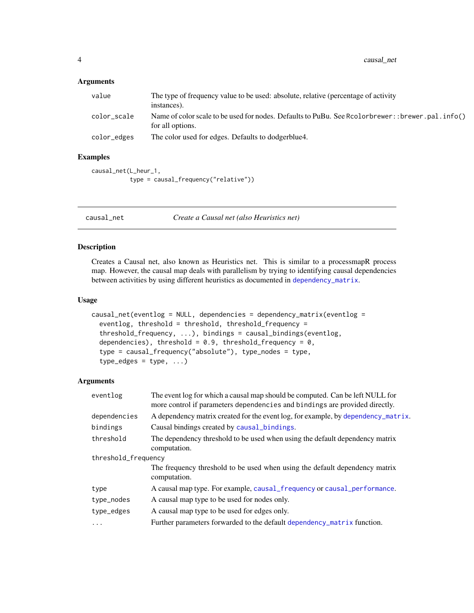<span id="page-3-0"></span>

| value       | The type of frequency value to be used: absolute, relative (percentage of activity<br>instances).                       |
|-------------|-------------------------------------------------------------------------------------------------------------------------|
| color_scale | Name of color scale to be used for nodes. Defaults to PuBu. See Rcolorbrewer: : brewer. pal. info()<br>for all options. |
| color_edges | The color used for edges. Defaults to dodgerblue 4.                                                                     |

# Examples

```
causal_net(L_heur_1,
           type = causal_frequency("relative"))
```
<span id="page-3-1"></span>causal\_net *Create a Causal net (also Heuristics net)*

# Description

Creates a Causal net, also known as Heuristics net. This is similar to a processmapR process map. However, the causal map deals with parallelism by trying to identifying causal dependencies between activities by using different heuristics as documented in [dependency\\_matrix](#page-5-1).

#### Usage

```
causal_net(eventlog = NULL, dependencies = dependency_matrix(eventlog =
  eventlog, threshold = threshold, threshold_frequency =
  threshold_frequency, ...), bindings = causal_bindings(eventlog,
  dependencies), threshold = 0.9, threshold_frequency = 0,
  type = causal_frequency("absolute"), type_nodes = type,
  type_edges = type, ...)
```
# Arguments

| eventlog            | The event log for which a causal map should be computed. Can be left NULL for<br>more control if parameters dependencies and bindings are provided directly. |
|---------------------|--------------------------------------------------------------------------------------------------------------------------------------------------------------|
| dependencies        | A dependency matrix created for the event log, for example, by dependency_matrix.                                                                            |
| bindings            | Causal bindings created by causal_bindings.                                                                                                                  |
| threshold           | The dependency threshold to be used when using the default dependency matrix<br>computation.                                                                 |
| threshold_frequency |                                                                                                                                                              |
|                     | The frequency threshold to be used when using the default dependency matrix<br>computation.                                                                  |
| type                | A causal map type. For example, causal_frequency or causal_performance.                                                                                      |
| type_nodes          | A causal map type to be used for nodes only.                                                                                                                 |
| type_edges          | A causal map type to be used for edges only.                                                                                                                 |
| $\cdots$            | Further parameters forwarded to the default dependency matrix function.                                                                                      |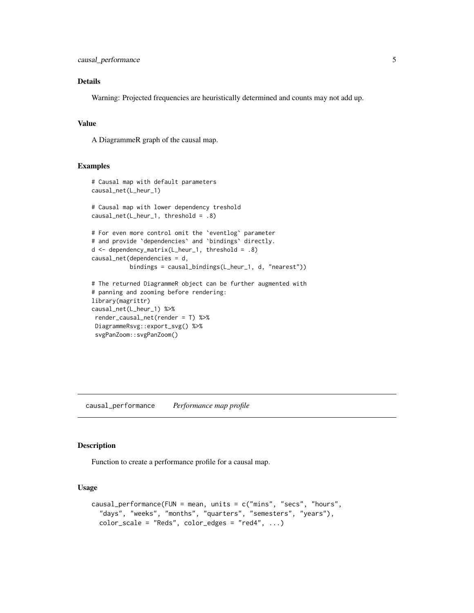# <span id="page-4-0"></span>Details

Warning: Projected frequencies are heuristically determined and counts may not add up.

# Value

A DiagrammeR graph of the causal map.

# Examples

```
# Causal map with default parameters
causal_net(L_heur_1)
# Causal map with lower dependency treshold
causal_net(L_heur_1, threshold = .8)
# For even more control omit the `eventlog` parameter
# and provide `dependencies` and `bindings` directly.
d <- dependency_matrix(L_heur_1, threshold = .8)
causal_net(dependencies = d,
           bindings = causal_bindings(L_heur_1, d, "nearest"))
# The returned DiagrammeR object can be further augmented with
# panning and zooming before rendering:
library(magrittr)
causal_net(L_heur_1) %>%
render_causal_net(render = T) %>%
DiagrammeRsvg::export_svg() %>%
 svgPanZoom::svgPanZoom()
```
<span id="page-4-1"></span>causal\_performance *Performance map profile*

#### Description

Function to create a performance profile for a causal map.

```
causal_performance(FUN = mean, units = c("mins", "secs", "hours",
  "days", "weeks", "months", "quarters", "semesters", "years"),
  color\_scale = "Reds", color\_edges = "red4", ...)
```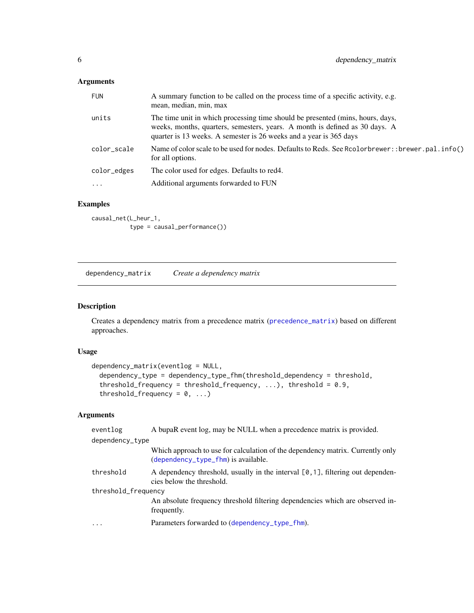<span id="page-5-0"></span>

| <b>FUN</b>  | A summary function to be called on the process time of a specific activity, e.g.<br>mean, median, min, max                                                                                                                          |
|-------------|-------------------------------------------------------------------------------------------------------------------------------------------------------------------------------------------------------------------------------------|
| units       | The time unit in which processing time should be presented (mins, hours, days,<br>weeks, months, quarters, semesters, years. A month is defined as 30 days. A<br>quarter is 13 weeks. A semester is 26 weeks and a year is 365 days |
| color_scale | Name of color scale to be used for nodes. Defaults to Reds. See Rcolorbrewer: : brewer.pal.info()<br>for all options.                                                                                                               |
| color_edges | The color used for edges. Defaults to red4.                                                                                                                                                                                         |
| $\cdots$    | Additional arguments forwarded to FUN                                                                                                                                                                                               |

# Examples

causal\_net(L\_heur\_1, type = causal\_performance())

<span id="page-5-1"></span>dependency\_matrix *Create a dependency matrix*

# Description

Creates a dependency matrix from a precedence matrix ([precedence\\_matrix](#page-10-1)) based on different approaches.

# Usage

```
dependency_matrix(eventlog = NULL,
  dependency_type = dependency_type_fhm(threshold_dependency = threshold,
  threshold_frequency = threshold_frequency, \ldots), threshold = 0.9,
  threshold_frequency = 0, ...)
```
# Arguments

| eventlog            | A bupaR event log, may be NULL when a precedence matrix is provided.                                                    |
|---------------------|-------------------------------------------------------------------------------------------------------------------------|
| dependency_type     |                                                                                                                         |
|                     | Which approach to use for calculation of the dependency matrix. Currently only<br>$(dependency_type_fhm)$ is available. |
| threshold           | A dependency threshold, usually in the interval $[0,1]$ , filtering out dependen-<br>cies below the threshold.          |
| threshold_frequency |                                                                                                                         |
|                     | An absolute frequency threshold filtering dependencies which are observed in-<br>frequently.                            |
| .                   | Parameters forwarded to (dependency_type_fhm).                                                                          |
|                     |                                                                                                                         |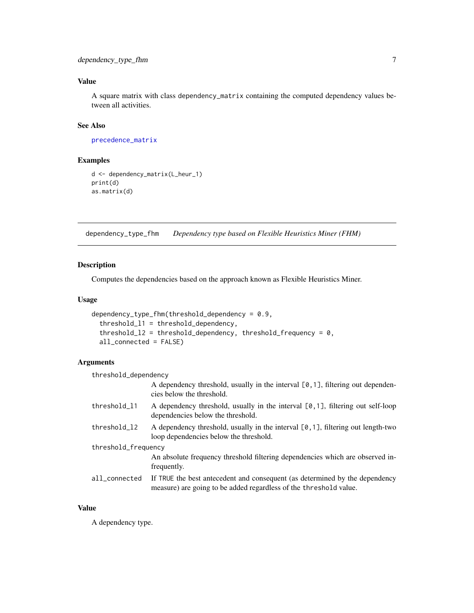# <span id="page-6-0"></span>Value

A square matrix with class dependency\_matrix containing the computed dependency values between all activities.

# See Also

[precedence\\_matrix](#page-10-1)

#### Examples

```
d <- dependency_matrix(L_heur_1)
print(d)
as.matrix(d)
```
<span id="page-6-1"></span>dependency\_type\_fhm *Dependency type based on Flexible Heuristics Miner (FHM)*

#### Description

Computes the dependencies based on the approach known as Flexible Heuristics Miner.

#### Usage

```
dependency_type_fhm(threshold_dependency = 0.9,
  threshold_l1 = threshold_dependency,
  threshold_12 = threshold_dependency, threshold_frequency = 0,
  all_connected = FALSE)
```
# Arguments

threshold\_dependency

| A dependency threshold, usually in the interval $[0, 1]$ , filtering out dependen- |  |  |
|------------------------------------------------------------------------------------|--|--|
| cies below the threshold.                                                          |  |  |

| threshold l1 | A dependency threshold, usually in the interval $[0,1]$ , filtering out self-loop<br>dependencies below the threshold.       |
|--------------|------------------------------------------------------------------------------------------------------------------------------|
| threshold 12 | A dependency threshold, usually in the interval $[0,1]$ , filtering out length-two<br>loop dependencies below the threshold. |

threshold\_frequency

An absolute frequency threshold filtering dependencies which are observed infrequently.

all\_connected If TRUE the best antecedent and consequent (as determined by the dependency measure) are going to be added regardless of the threshold value.

# Value

A dependency type.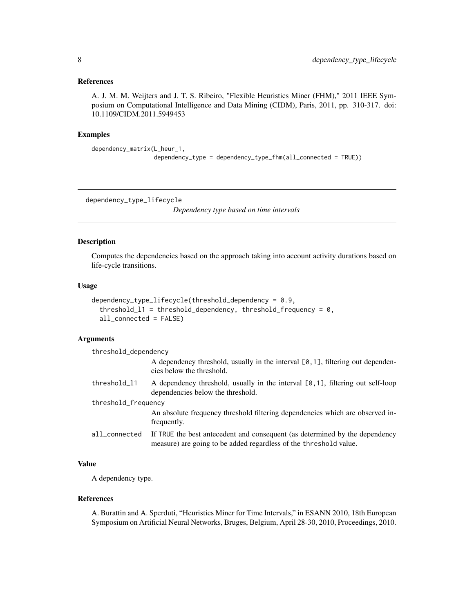#### <span id="page-7-0"></span>References

A. J. M. M. Weijters and J. T. S. Ribeiro, "Flexible Heuristics Miner (FHM)," 2011 IEEE Symposium on Computational Intelligence and Data Mining (CIDM), Paris, 2011, pp. 310-317. doi: 10.1109/CIDM.2011.5949453

#### Examples

```
dependency_matrix(L_heur_1,
                  dependency_type = dependency_type_fhm(all_connected = TRUE))
```
dependency\_type\_lifecycle

*Dependency type based on time intervals*

# Description

Computes the dependencies based on the approach taking into account activity durations based on life-cycle transitions.

#### Usage

```
dependency_type_lifecycle(threshold_dependency = 0.9,
  threshold_11 = threshold_dependency, threshold_frequency = 0,
  all_connected = FALSE)
```
#### **Arguments**

| threshold_dependency |                                                                                                                                                  |
|----------------------|--------------------------------------------------------------------------------------------------------------------------------------------------|
|                      | A dependency threshold, usually in the interval $[0,1]$ , filtering out dependen-<br>cies below the threshold.                                   |
| threshold_11         | A dependency threshold, usually in the interval $[0,1]$ , filtering out self-loop<br>dependencies below the threshold.                           |
| threshold_frequency  |                                                                                                                                                  |
|                      | An absolute frequency threshold filtering dependencies which are observed in-<br>frequently.                                                     |
| all_connected        | If TRUE the best antecedent and consequent (as determined by the dependency<br>measure) are going to be added regardless of the threshold value. |

# Value

A dependency type.

# References

A. Burattin and A. Sperduti, "Heuristics Miner for Time Intervals," in ESANN 2010, 18th European Symposium on Artificial Neural Networks, Bruges, Belgium, April 28-30, 2010, Proceedings, 2010.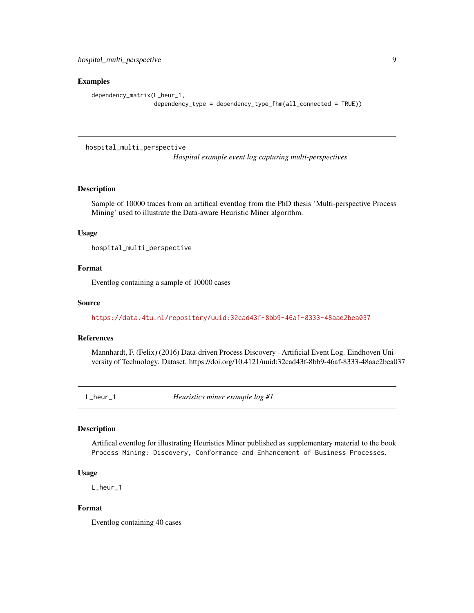#### <span id="page-8-0"></span>Examples

```
dependency_matrix(L_heur_1,
                  dependency_type = dependency_type_fhm(all_connected = TRUE))
```
hospital\_multi\_perspective

*Hospital example event log capturing multi-perspectives*

# Description

Sample of 10000 traces from an artifical eventlog from the PhD thesis 'Multi-perspective Process Mining' used to illustrate the Data-aware Heuristic Miner algorithm.

#### Usage

hospital\_multi\_perspective

# Format

Eventlog containing a sample of 10000 cases

# Source

<https://data.4tu.nl/repository/uuid:32cad43f-8bb9-46af-8333-48aae2bea037>

#### References

Mannhardt, F. (Felix) (2016) Data-driven Process Discovery - Artificial Event Log. Eindhoven University of Technology. Dataset. https://doi.org/10.4121/uuid:32cad43f-8bb9-46af-8333-48aae2bea037

L\_heur\_1 *Heuristics miner example log #1*

#### Description

Artifical eventlog for illustrating Heuristics Miner published as supplementary material to the book Process Mining: Discovery, Conformance and Enhancement of Business Processes.

# Usage

L\_heur\_1

# Format

Eventlog containing 40 cases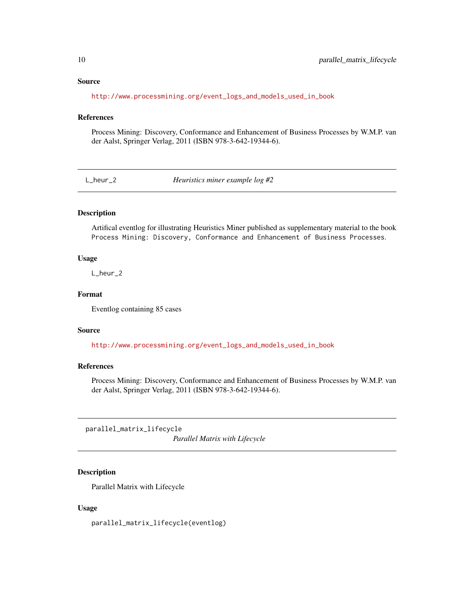#### Source

[http://www.processmining.org/event\\_logs\\_and\\_models\\_used\\_in\\_book](http://www.processmining.org/event_logs_and_models_used_in_book)

# References

Process Mining: Discovery, Conformance and Enhancement of Business Processes by W.M.P. van der Aalst, Springer Verlag, 2011 (ISBN 978-3-642-19344-6).

L\_heur\_2 *Heuristics miner example log #2*

# Description

Artifical eventlog for illustrating Heuristics Miner published as supplementary material to the book Process Mining: Discovery, Conformance and Enhancement of Business Processes.

#### Usage

L\_heur\_2

# Format

Eventlog containing 85 cases

#### Source

[http://www.processmining.org/event\\_logs\\_and\\_models\\_used\\_in\\_book](http://www.processmining.org/event_logs_and_models_used_in_book)

#### References

Process Mining: Discovery, Conformance and Enhancement of Business Processes by W.M.P. van der Aalst, Springer Verlag, 2011 (ISBN 978-3-642-19344-6).

parallel\_matrix\_lifecycle

*Parallel Matrix with Lifecycle*

#### Description

Parallel Matrix with Lifecycle

#### Usage

parallel\_matrix\_lifecycle(eventlog)

<span id="page-9-0"></span>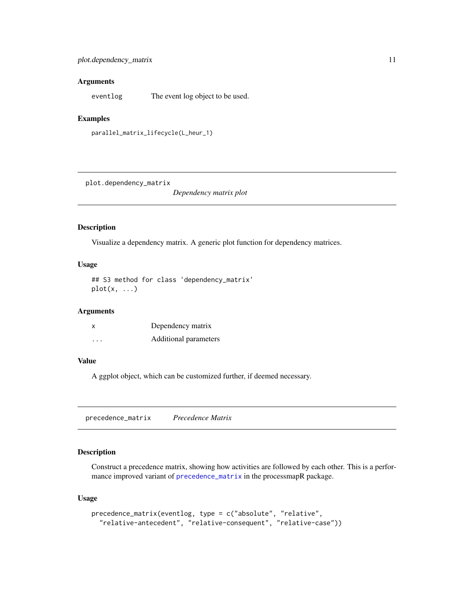<span id="page-10-0"></span>eventlog The event log object to be used.

#### Examples

parallel\_matrix\_lifecycle(L\_heur\_1)

plot.dependency\_matrix

*Dependency matrix plot*

#### Description

Visualize a dependency matrix. A generic plot function for dependency matrices.

#### Usage

## S3 method for class 'dependency\_matrix' plot(x, ...)

# Arguments

| x       | Dependency matrix     |
|---------|-----------------------|
| $\cdot$ | Additional parameters |

#### Value

A ggplot object, which can be customized further, if deemed necessary.

<span id="page-10-1"></span>precedence\_matrix *Precedence Matrix*

#### Description

Construct a precedence matrix, showing how activities are followed by each other. This is a performance improved variant of [precedence\\_matrix](#page-10-1) in the processmapR package.

```
precedence_matrix(eventlog, type = c("absolute", "relative",
  "relative-antecedent", "relative-consequent", "relative-case"))
```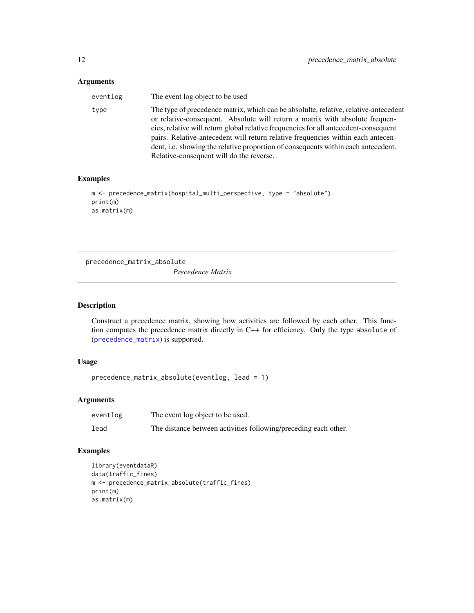<span id="page-11-0"></span>

| eventlog | The event log object to be used                                                                                                                                                                                                                                                                                                                                                                                                                                                   |
|----------|-----------------------------------------------------------------------------------------------------------------------------------------------------------------------------------------------------------------------------------------------------------------------------------------------------------------------------------------------------------------------------------------------------------------------------------------------------------------------------------|
| type     | The type of precedence matrix, which can be absoluite, relative, relative-antecedent<br>or relative-consequent. Absolute will return a matrix with absolute frequen-<br>cies, relative will return global relative frequencies for all antecedent-consequent<br>pairs. Relative-antecedent will return relative frequencies within each antecen-<br>dent, i.e. showing the relative proportion of consequents within each antecedent.<br>Relative-consequent will do the reverse. |

# Examples

```
m <- precedence_matrix(hospital_multi_perspective, type = "absolute")
print(m)
as.matrix(m)
```
precedence\_matrix\_absolute

*Precedence Matrix*

# Description

Construct a precedence matrix, showing how activities are followed by each other. This function computes the precedence matrix directly in C++ for efficiency. Only the type absolute of ([precedence\\_matrix](#page-10-1)) is supported.

# Usage

precedence\_matrix\_absolute(eventlog, lead = 1)

# Arguments

| eventlog | The event log object to be used.                                |
|----------|-----------------------------------------------------------------|
| lead     | The distance between activities following/preceding each other. |

# Examples

```
library(eventdataR)
data(traffic_fines)
m <- precedence_matrix_absolute(traffic_fines)
print(m)
as.matrix(m)
```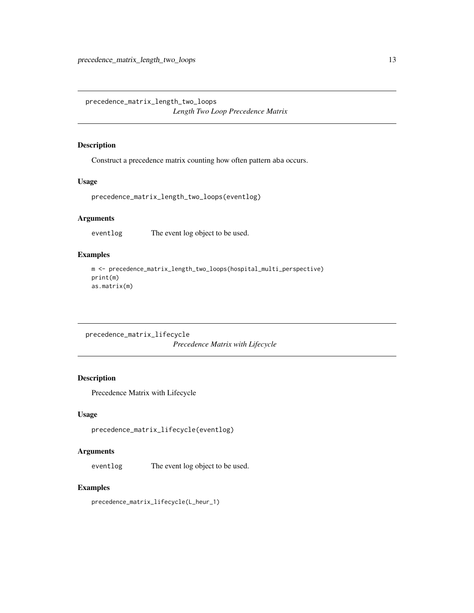<span id="page-12-0"></span>precedence\_matrix\_length\_two\_loops *Length Two Loop Precedence Matrix*

## Description

Construct a precedence matrix counting how often pattern aba occurs.

#### Usage

precedence\_matrix\_length\_two\_loops(eventlog)

# Arguments

eventlog The event log object to be used.

# Examples

```
m <- precedence_matrix_length_two_loops(hospital_multi_perspective)
print(m)
as.matrix(m)
```

```
precedence_matrix_lifecycle
                        Precedence Matrix with Lifecycle
```
# Description

Precedence Matrix with Lifecycle

# Usage

```
precedence_matrix_lifecycle(eventlog)
```
# Arguments

eventlog The event log object to be used.

#### Examples

precedence\_matrix\_lifecycle(L\_heur\_1)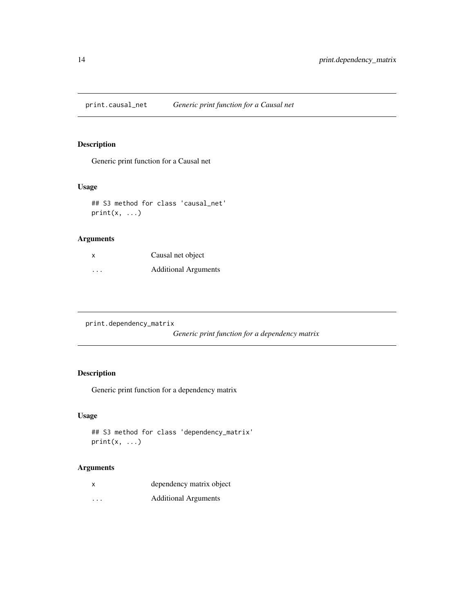<span id="page-13-0"></span>print.causal\_net *Generic print function for a Causal net*

# Description

Generic print function for a Causal net

# Usage

## S3 method for class 'causal\_net'  $print(x, \ldots)$ 

# Arguments

| X                       | Causal net object           |
|-------------------------|-----------------------------|
| $\cdot$ $\cdot$ $\cdot$ | <b>Additional Arguments</b> |

print.dependency\_matrix

*Generic print function for a dependency matrix*

# Description

Generic print function for a dependency matrix

# Usage

```
## S3 method for class 'dependency_matrix'
print(x, \ldots)
```
# Arguments

| X       | dependency matrix object    |
|---------|-----------------------------|
| $\cdot$ | <b>Additional Arguments</b> |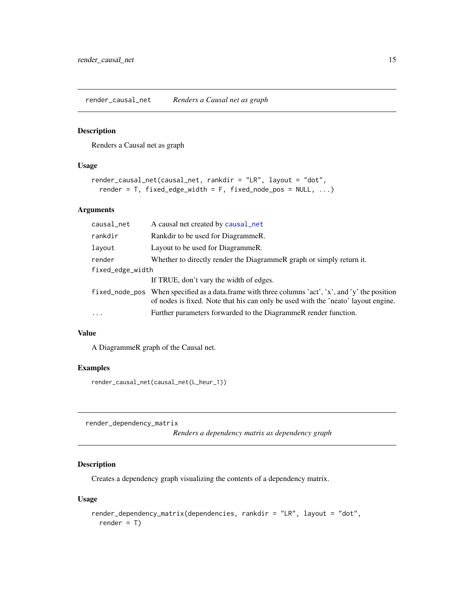<span id="page-14-0"></span>render\_causal\_net *Renders a Causal net as graph*

#### Description

Renders a Causal net as graph

# Usage

```
render_causal_net(causal_net, rankdir = "LR", layout = "dot",
  render = T, fixed_edge_width = F, fixed_node_pos = NULL, ...)
```
### Arguments

| causal_net       | A causal net created by causal_net                                                                                                                                                     |
|------------------|----------------------------------------------------------------------------------------------------------------------------------------------------------------------------------------|
| rankdir          | Rankdir to be used for DiagrammeR.                                                                                                                                                     |
| layout           | Layout to be used for DiagrammeR.                                                                                                                                                      |
| render           | Whether to directly render the DiagrammeR graph or simply return it.                                                                                                                   |
| fixed_edge_width |                                                                                                                                                                                        |
|                  | If TRUE, don't vary the width of edges.                                                                                                                                                |
|                  | fixed_node_pos When specified as a data.frame with three columns 'act', 'x', and 'y' the position<br>of nodes is fixed. Note that his can only be used with the 'neato' layout engine. |
| $\cdots$         | Further parameters forwarded to the DiagrammeR render function.                                                                                                                        |

#### Value

A DiagrammeR graph of the Causal net.

### Examples

render\_causal\_net(causal\_net(L\_heur\_1))

render\_dependency\_matrix

*Renders a dependency matrix as dependency graph*

# Description

Creates a dependency graph visualizing the contents of a dependency matrix.

```
render_dependency_matrix(dependencies, rankdir = "LR", layout = "dot",
  render = T)
```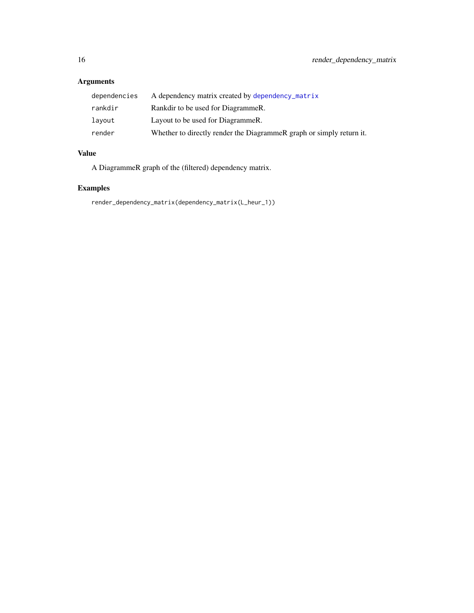<span id="page-15-0"></span>

| dependencies | A dependency matrix created by dependency_matrix                     |
|--------------|----------------------------------------------------------------------|
| rankdir      | Rankdir to be used for DiagrammeR.                                   |
| lavout       | Layout to be used for DiagrammeR.                                    |
| render       | Whether to directly render the DiagrammeR graph or simply return it. |

# Value

A DiagrammeR graph of the (filtered) dependency matrix.

# Examples

render\_dependency\_matrix(dependency\_matrix(L\_heur\_1))